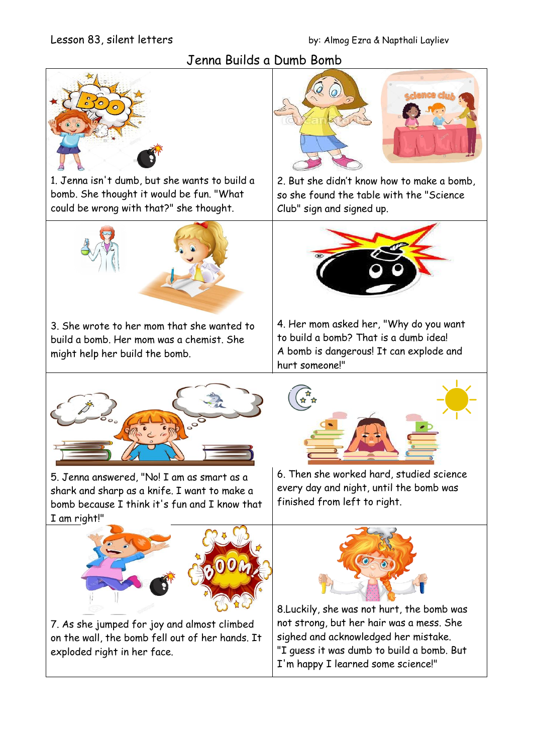# Jenna Builds a Dumb Bomb



1. Jenna isn't dumb, but she wants to build a bomb. She thought it would be fun. "What could be wrong with that?" she thought.



3. She wrote to her mom that she wanted to build a bomb. Her mom was a chemist. She might help her build the bomb.



5. Jenna answered, "No! I am as smart as a shark and sharp as a knife. I want to make a bomb because I think it's fun and I know that I am right!"



7. As she jumped for joy and almost climbed on the wall, the bomb fell out of her hands. It exploded right in her face.



2. But she didn't know how to make a bomb, so she found the table with the "Science Club" sign and signed up.



4. Her mom asked her, "Why do you want to build a bomb? That is a dumb idea! A bomb is dangerous! It can explode and hurt someone!"



6. Then she worked hard, studied science every day and night, until the bomb was finished from left to right.



8.Luckily, she was not hurt, the bomb was not strong, but her hair was a mess. She sighed and acknowledged her mistake. "I guess it was dumb to build a bomb. But I'm happy I learned some science!"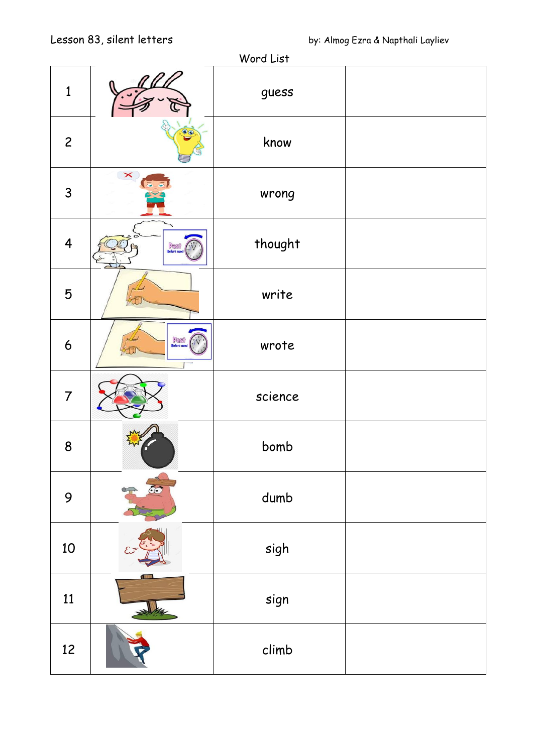| Word List        |              |         |  |
|------------------|--------------|---------|--|
| $\mathbf{1}$     |              | guess   |  |
| $\overline{c}$   | OO           | know    |  |
| 3                | $\times$     | wrong   |  |
| $\overline{4}$   | <b>Pest</b>  | thought |  |
| 5                |              | write   |  |
| $\boldsymbol{6}$ | <b>Persi</b> | wrote   |  |
| $\overline{7}$   |              | science |  |
| 8                |              | bomb    |  |
| 9                | 60           | dumb    |  |
| 10               |              | sigh    |  |
| 11               | <b>STAR</b>  | sign    |  |
| 12               |              | climb   |  |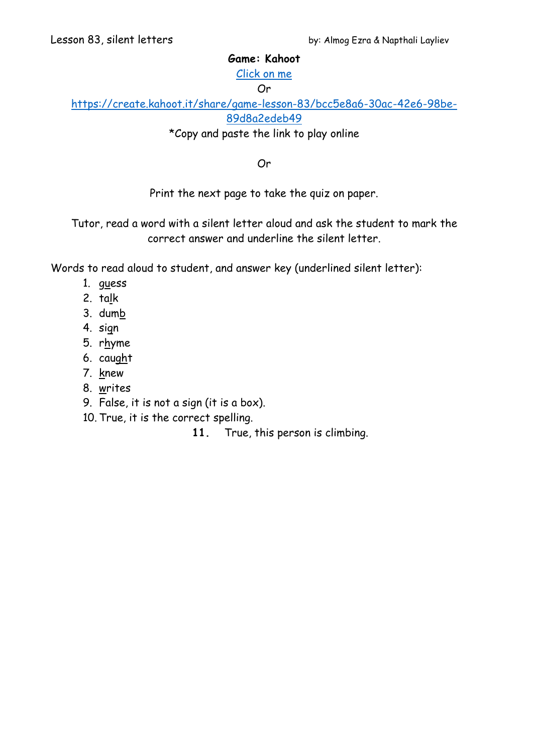### **Game: Kahoot**

[Click on me](https://create.kahoot.it/share/game-lesson-83/bcc5e8a6-30ac-42e6-98be-89d8a2edeb49)

#### Or

[https://create.kahoot.it/share/game-lesson-83/bcc5e8a6-30ac-42e6-98be-](https://create.kahoot.it/share/game-lesson-83/bcc5e8a6-30ac-42e6-98be-89d8a2edeb49)[89d8a2edeb49](https://create.kahoot.it/share/game-lesson-83/bcc5e8a6-30ac-42e6-98be-89d8a2edeb49)

\*Copy and paste the link to play online

Or

Print the next page to take the quiz on paper.

Tutor, read a word with a silent letter aloud and ask the student to mark the correct answer and underline the silent letter.

Words to read aloud to student, and answer key (underlined silent letter):

- 1. guess
- 2. talk
- 3. dumb
- 4. sign
- 5. rhyme
- 6. caught
- 7. knew
- 8. writes
- 9. False, it is not a sign (it is a box).
- 10. True, it is the correct spelling.

**11.** True, this person is climbing.